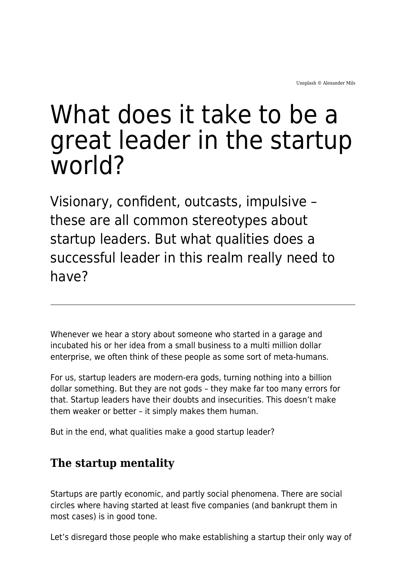# What does it take to be a great leader in the startup world?

Visionary, confident, outcasts, impulsive – these are all common stereotypes about startup leaders. But what qualities does a successful leader in this realm really need to have?

Whenever we hear a story about someone who started in a garage and incubated his or her idea from a small business to a multi million dollar enterprise, we often think of these people as some sort of meta-humans.

For us, startup leaders are modern-era gods, turning nothing into a billion dollar something. But they are not gods – they make far too many errors for that. Startup leaders have their doubts and insecurities. This doesn't make them weaker or better – it simply makes them human.

But in the end, what qualities make a good startup leader?

## **The startup mentality**

Startups are partly economic, and partly social phenomena. There are social circles where having started at least five companies (and bankrupt them in most cases) is in good tone.

Let's disregard those people who make establishing a startup their only way of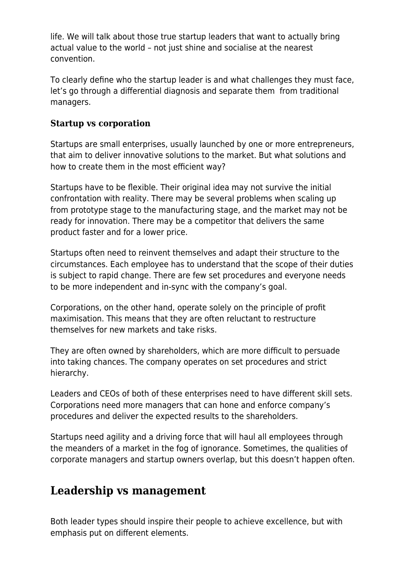life. We will talk about those true startup leaders that want to actually bring actual value to the world – not just shine and socialise at the nearest convention.

To clearly define who the startup leader is and what challenges they must face, let's go through a differential diagnosis and separate them from traditional managers.

#### **Startup vs corporation**

Startups are small enterprises, usually launched by one or more entrepreneurs, that aim to deliver innovative solutions to the market. But what solutions and how to create them in the most efficient way?

Startups have to be flexible. Their original idea may not survive the initial confrontation with reality. There may be several problems when scaling up from prototype stage to the manufacturing stage, and the market may not be ready for innovation. There may be a competitor that delivers the same product faster and for a lower price.

Startups often need to reinvent themselves and adapt their structure to the circumstances. Each employee has to understand that the scope of their duties is subject to rapid change. There are few set procedures and everyone needs to be more independent and in-sync with the company's goal.

Corporations, on the other hand, operate solely on the principle of profit maximisation. This means that they are often reluctant to restructure themselves for new markets and take risks.

They are often owned by shareholders, which are more difficult to persuade into taking chances. The company operates on set procedures and strict hierarchy.

Leaders and CEOs of both of these enterprises need to have different skill sets. Corporations need more managers that can hone and enforce company's procedures and deliver the expected results to the shareholders.

Startups need agility and a driving force that will haul all employees through the meanders of a market in the fog of ignorance. Sometimes, the qualities of corporate managers and startup owners overlap, but this doesn't happen often.

#### **Leadership vs management**

Both leader types should inspire their people to achieve excellence, but with emphasis put on different elements.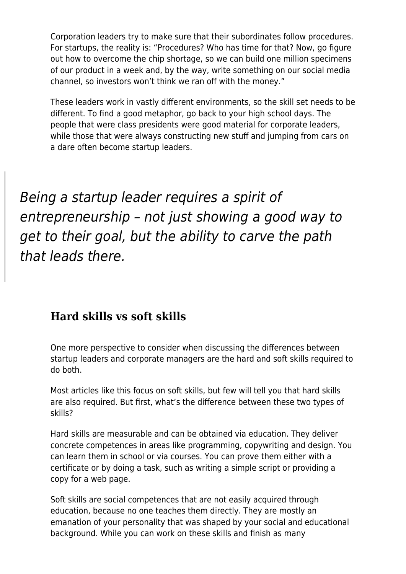Corporation leaders try to make sure that their subordinates follow procedures. For startups, the reality is: "Procedures? Who has time for that? Now, go figure out how to overcome the chip shortage, so we can build one million specimens of our product in a week and, by the way, write something on our social media channel, so investors won't think we ran off with the money."

These leaders work in vastly different environments, so the skill set needs to be different. To find a good metaphor, go back to your high school days. The people that were class presidents were good material for corporate leaders, while those that were always constructing new stuff and jumping from cars on a dare often become startup leaders.

Being a startup leader requires a spirit of entrepreneurship – not just showing a good way to get to their goal, but the ability to carve the path that leads there.

### **Hard skills vs soft skills**

One more perspective to consider when discussing the differences between startup leaders and corporate managers are the hard and soft skills required to do both.

Most articles like this focus on soft skills, but few will tell you that hard skills are also required. But first, what's the difference between these two types of skills?

Hard skills are measurable and can be obtained via education. They deliver concrete competences in areas like programming, copywriting and design. You can learn them in school or via courses. You can prove them either with a certificate or by doing a task, such as writing a simple script or providing a copy for a web page.

Soft skills are social competences that are not easily acquired through education, because no one teaches them directly. They are mostly an emanation of your personality that was shaped by your social and educational background. While you can work on these skills and finish as many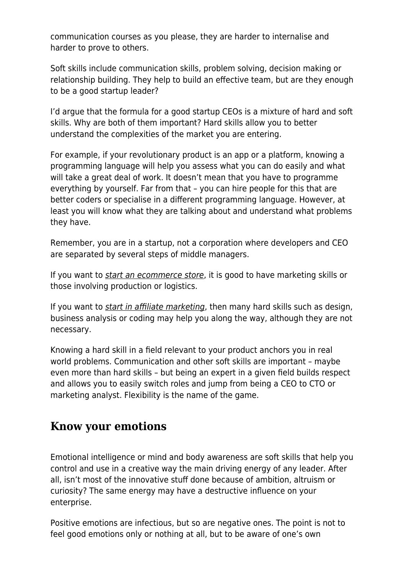communication courses as you please, they are harder to internalise and harder to prove to others.

Soft skills include communication skills, problem solving, decision making or relationship building. They help to build an effective team, but are they enough to be a good startup leader?

I'd argue that the formula for a good startup CEOs is a mixture of hard and soft skills. Why are both of them important? Hard skills allow you to better understand the complexities of the market you are entering.

For example, if your revolutionary product is an app or a platform, knowing a programming language will help you assess what you can do easily and what will take a great deal of work. It doesn't mean that you have to programme everything by yourself. Far from that – you can hire people for this that are better coders or specialise in a different programming language. However, at least you will know what they are talking about and understand what problems they have.

Remember, you are in a startup, not a corporation where developers and CEO are separated by several steps of middle managers.

If you want to *[start an ecommerce store](https://www.ecommerceceo.com/start-ecommerce-business/)*, it is good to have marketing skills or those involving production or logistics.

If you want to *[start in affiliate marketing](https://zeropark.com/blog/affiliate-marketing-career/)*, then many hard skills such as design, business analysis or coding may help you along the way, although they are not necessary.

Knowing a hard skill in a field relevant to your product anchors you in real world problems. Communication and other soft skills are important – maybe even more than hard skills – but being an expert in a given field builds respect and allows you to easily switch roles and jump from being a CEO to CTO or marketing analyst. Flexibility is the name of the game.

#### **Know your emotions**

Emotional intelligence or mind and body awareness are soft skills that help you control and use in a creative way the main driving energy of any leader. After all, isn't most of the innovative stuff done because of ambition, altruism or curiosity? The same energy may have a destructive influence on your enterprise.

Positive emotions are infectious, but so are negative ones. The point is not to feel good emotions only or nothing at all, but to be aware of one's own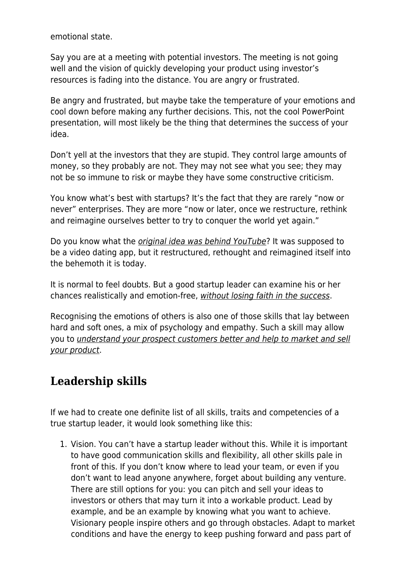emotional state.

Say you are at a meeting with potential investors. The meeting is not going well and the vision of quickly developing your product using investor's resources is fading into the distance. You are angry or frustrated.

Be angry and frustrated, but maybe take the temperature of your emotions and cool down before making any further decisions. This, not the cool PowerPoint presentation, will most likely be the thing that determines the success of your idea.

Don't yell at the investors that they are stupid. They control large amounts of money, so they probably are not. They may not see what you see; they may not be so immune to risk or maybe they have some constructive criticism.

You know what's best with startups? It's the fact that they are rarely "now or never" enterprises. They are more "now or later, once we restructure, rethink and reimagine ourselves better to try to conquer the world yet again."

Do you know what the *[original idea was behind YouTube](https://www.theguardian.com/technology/2016/mar/16/youtube-past-video-dating-website)*? It was supposed to be a video dating app, but it restructured, rethought and reimagined itself into the behemoth it is today.

It is normal to feel doubts. But a good startup leader can examine his or her chances realistically and emotion-free, [without losing faith in the success](https://voluum.com/blog/how-to-not-lose-faith-and-achieve-success-as-an-affiliate-marketer/).

Recognising the emotions of others is also one of those skills that lay between hard and soft ones, a mix of psychology and empathy. Such a skill may allow you to [understand your prospect customers better and help to market and sell](https://voluumdsp.com/blog/5-simple-psychological-hacks-to-boost-your-native-advertising-campaigns/) [your product](https://voluumdsp.com/blog/5-simple-psychological-hacks-to-boost-your-native-advertising-campaigns/).

# **Leadership skills**

If we had to create one definite list of all skills, traits and competencies of a true startup leader, it would look something like this:

1. Vision. You can't have a startup leader without this. While it is important to have good communication skills and flexibility, all other skills pale in front of this. If you don't know where to lead your team, or even if you don't want to lead anyone anywhere, forget about building any venture. There are still options for you: you can pitch and sell your ideas to investors or others that may turn it into a workable product. Lead by example, and be an example by knowing what you want to achieve. Visionary people inspire others and go through obstacles. Adapt to market conditions and have the energy to keep pushing forward and pass part of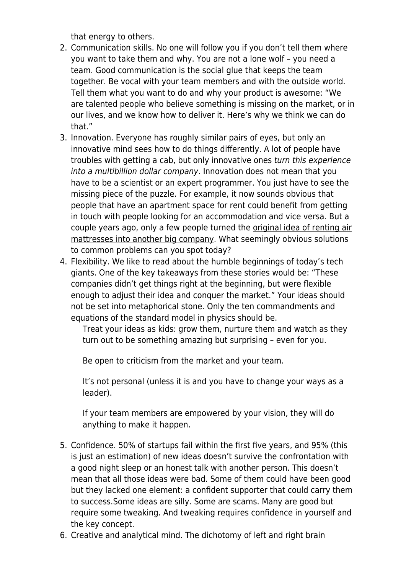that energy to others.

- 2. Communication skills. No one will follow you if you don't tell them where you want to take them and why. You are not a lone wolf – you need a team. Good communication is the social glue that keeps the team together. Be vocal with your team members and with the outside world. Tell them what you want to do and why your product is awesome: "We are talented people who believe something is missing on the market, or in our lives, and we know how to deliver it. Here's why we think we can do that."
- 3. Innovation. Everyone has roughly similar pairs of eyes, but only an innovative mind sees how to do things differently. A lot of people have troubles with getting a cab, but only innovative ones [turn this experience](https://www.investopedia.com/articles/personal-finance/111015/story-uber.asp) [into a multibillion dollar company](https://www.investopedia.com/articles/personal-finance/111015/story-uber.asp). Innovation does not mean that you have to be a scientist or an expert programmer. You just have to see the missing piece of the puzzle. For example, it now sounds obvious that people that have an apartment space for rent could benefit from getting in touch with people looking for an accommodation and vice versa. But a couple years ago, only a few people turned the [original idea of renting air](https://www.businessinsider.com/how-airbnb-was-founded-a-visual-history-2016-2) [mattresses into another big company.](https://www.businessinsider.com/how-airbnb-was-founded-a-visual-history-2016-2) What seemingly obvious solutions to common problems can you spot today?
- 4. Flexibility. We like to read about the humble beginnings of today's tech giants. One of the key takeaways from these stories would be: "These companies didn't get things right at the beginning, but were flexible enough to adjust their idea and conquer the market." Your ideas should not be set into metaphorical stone. Only the ten commandments and equations of the standard model in physics should be.

Treat your ideas as kids: grow them, nurture them and watch as they turn out to be something amazing but surprising – even for you.

Be open to criticism from the market and your team.

It's not personal (unless it is and you have to change your ways as a leader).

If your team members are empowered by your vision, they will do anything to make it happen.

- 5. Confidence. 50% of startups fail within the first five years, and 95% (this is just an estimation) of new ideas doesn't survive the confrontation with a good night sleep or an honest talk with another person. This doesn't mean that all those ideas were bad. Some of them could have been good but they lacked one element: a confident supporter that could carry them to success.Some ideas are silly. Some are scams. Many are good but require some tweaking. And tweaking requires confidence in yourself and the key concept.
- 6. Creative and analytical mind. The dichotomy of left and right brain